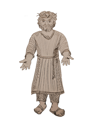